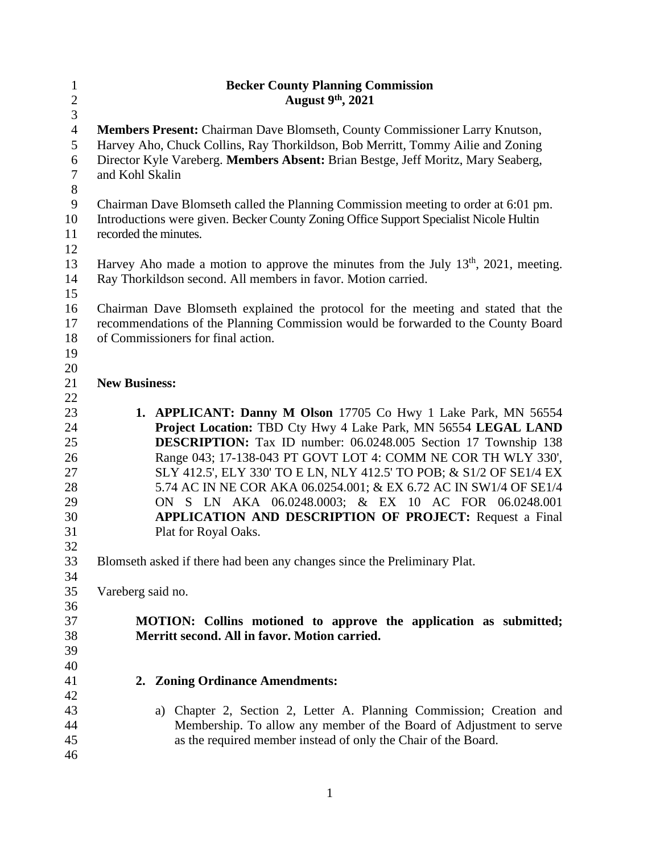| $\mathbf{1}$   | <b>Becker County Planning Commission</b>                                                                           |
|----------------|--------------------------------------------------------------------------------------------------------------------|
| $\overline{c}$ | August $9th$ , 2021                                                                                                |
| $\overline{3}$ |                                                                                                                    |
| $\overline{4}$ | Members Present: Chairman Dave Blomseth, County Commissioner Larry Knutson,                                        |
| 5              | Harvey Aho, Chuck Collins, Ray Thorkildson, Bob Merritt, Tommy Ailie and Zoning                                    |
| 6              | Director Kyle Vareberg. Members Absent: Brian Bestge, Jeff Moritz, Mary Seaberg,                                   |
| $\tau$         | and Kohl Skalin                                                                                                    |
| $8\,$          |                                                                                                                    |
| $\mathbf{9}$   | Chairman Dave Blomseth called the Planning Commission meeting to order at 6:01 pm.                                 |
| 10             | Introductions were given. Becker County Zoning Office Support Specialist Nicole Hultin                             |
| 11             | recorded the minutes.                                                                                              |
| 12             |                                                                                                                    |
| 13             | Harvey Aho made a motion to approve the minutes from the July $13th$ , $2021$ , meeting.                           |
| 14             | Ray Thorkildson second. All members in favor. Motion carried.                                                      |
| 15             |                                                                                                                    |
| 16             | Chairman Dave Blomseth explained the protocol for the meeting and stated that the                                  |
| 17             | recommendations of the Planning Commission would be forwarded to the County Board                                  |
| 18             | of Commissioners for final action.                                                                                 |
| 19             |                                                                                                                    |
| 20             |                                                                                                                    |
| 21             | <b>New Business:</b>                                                                                               |
| 22             |                                                                                                                    |
| 23             | 1. APPLICANT: Danny M Olson 17705 Co Hwy 1 Lake Park, MN 56554                                                     |
| 24             | Project Location: TBD Cty Hwy 4 Lake Park, MN 56554 LEGAL LAND                                                     |
| 25             | DESCRIPTION: Tax ID number: 06.0248.005 Section 17 Township 138                                                    |
| 26             | Range 043; 17-138-043 PT GOVT LOT 4: COMM NE COR TH WLY 330',                                                      |
| 27             | SLY 412.5', ELY 330' TO E LN, NLY 412.5' TO POB; & S1/2 OF SE1/4 EX                                                |
| 28             | 5.74 AC IN NE COR AKA 06.0254.001; & EX 6.72 AC IN SW1/4 OF SE1/4                                                  |
| 29             | ON S LN AKA 06.0248.0003; & EX 10 AC FOR 06.0248.001                                                               |
| 30             | <b>APPLICATION AND DESCRIPTION OF PROJECT:</b> Request a Final                                                     |
| 31             | Plat for Royal Oaks.                                                                                               |
| 32             |                                                                                                                    |
| 33             | Blomseth asked if there had been any changes since the Preliminary Plat.                                           |
| 34             |                                                                                                                    |
| 35             | Vareberg said no.                                                                                                  |
| 36<br>37       |                                                                                                                    |
| 38             | MOTION: Collins motioned to approve the application as submitted;<br>Merritt second. All in favor. Motion carried. |
| 39             |                                                                                                                    |
| 40             |                                                                                                                    |
| 41             | 2. Zoning Ordinance Amendments:                                                                                    |
| 42             |                                                                                                                    |
| 43             | a) Chapter 2, Section 2, Letter A. Planning Commission; Creation and                                               |
| 44             | Membership. To allow any member of the Board of Adjustment to serve                                                |
| 45             | as the required member instead of only the Chair of the Board.                                                     |
| 46             |                                                                                                                    |
|                |                                                                                                                    |